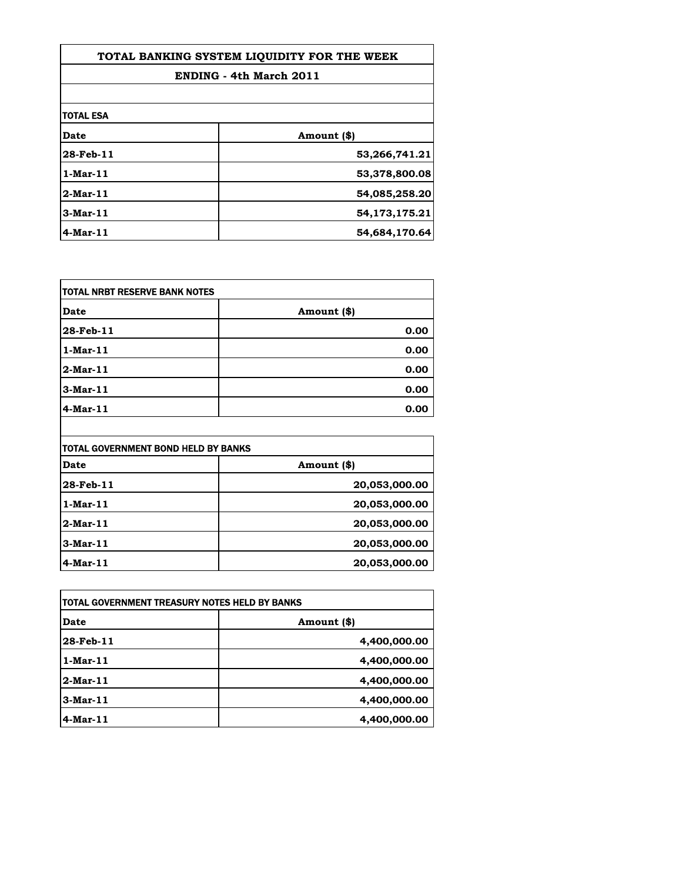| TOTAL BANKING SYSTEM LIQUIDITY FOR THE WEEK |               |
|---------------------------------------------|---------------|
| <b>ENDING - 4th March 2011</b>              |               |
|                                             |               |
| <b>TOTAL ESA</b>                            |               |
| Date                                        | Amount (\$)   |
| 28-Feb-11                                   | 53,266,741.21 |
| $1$ -Mar-11                                 | 53,378,800.08 |
| $2$ -Mar-11                                 | 54,085,258.20 |
| $3-Mar-11$                                  | 54,173,175.21 |
| $4$ -Mar-11                                 | 54,684,170.64 |

| <b>ITOTAL NRBT RESERVE BANK NOTES</b> |             |
|---------------------------------------|-------------|
| Date                                  | Amount (\$) |
| 28-Feb-11                             | 0.00        |
| $1$ -Mar-11                           | 0.00        |
| $2-Mar-11$                            | 0.00        |
| 3-Mar-11                              | 0.00        |
| 4-Mar-11                              | 0.00        |

| ITOTAL GOVERNMENT BOND HELD BY BANKS |               |
|--------------------------------------|---------------|
| Date                                 | Amount (\$)   |
| 28-Feb-11                            | 20,053,000.00 |
| $1$ -Mar-11                          | 20,053,000.00 |
| 2-Mar-11                             | 20,053,000.00 |
| 3-Mar-11                             | 20,053,000.00 |
| 4-Mar-11                             | 20,053,000.00 |

 $\mathsf{l}$ 

| itotal government treasury notes held by banks |              |
|------------------------------------------------|--------------|
| Date                                           | Amount (\$)  |
| 28-Feb-11                                      | 4,400,000.00 |
| $1$ -Mar-11                                    | 4,400,000.00 |
| 2-Mar-11                                       | 4,400,000.00 |
| $3-Mar-11$                                     | 4,400,000.00 |
| $4$ -Mar-11                                    | 4,400,000.00 |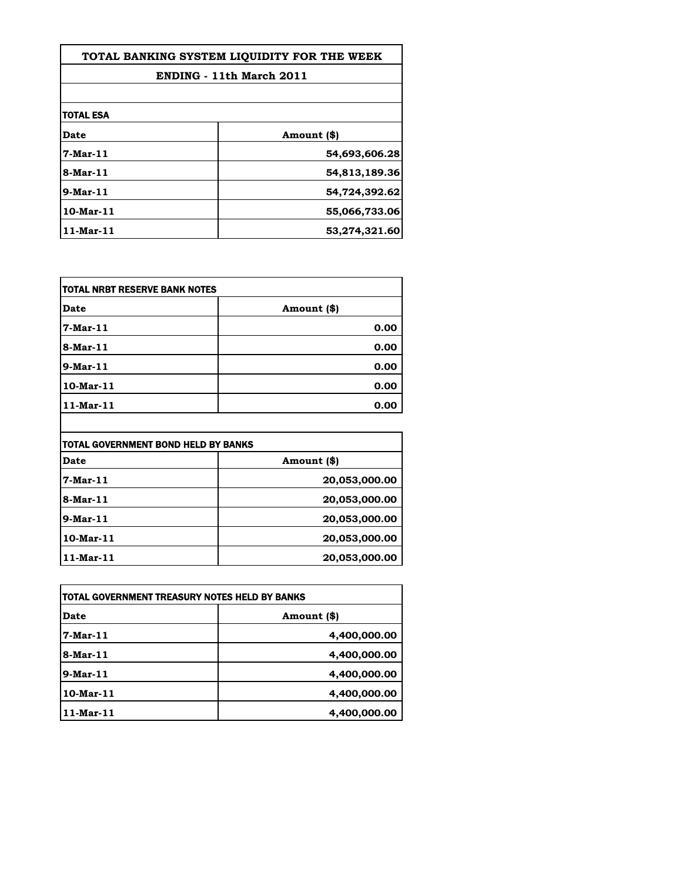| TOTAL BANKING SYSTEM LIOUIDITY FOR THE WEEK |               |
|---------------------------------------------|---------------|
| ENDING - 11th March 2011                    |               |
|                                             |               |
| <b>ITOTAL ESA</b>                           |               |
| Date                                        | Amount (\$)   |
| 7-Mar-11                                    | 54,693,606.28 |
| 8-Mar-11                                    | 54,813,189.36 |
| 9-Mar-11                                    | 54,724,392.62 |
| $10$ -Mar $-11$                             | 55,066,733.06 |
| 11-Mar-11                                   | 53,274,321.60 |

| TOTAL NRBT RESERVE BANK NOTES |             |
|-------------------------------|-------------|
| <b>Date</b>                   | Amount (\$) |
| 7-Mar-11                      | 0.00        |
| 8-Mar-11                      | 0.00        |
| $9$ -Mar-11                   | 0.00        |
| 10-Mar-11                     | 0.00        |
| 11-Mar-11                     | 0.00        |

|                 | <b>TOTAL GOVERNMENT BOND HELD BY BANKS</b> |  |
|-----------------|--------------------------------------------|--|
| Date            | Amount (\$)                                |  |
| $7 - Mar - 11$  | 20,053,000.00                              |  |
| 8-Mar-11        | 20,053,000.00                              |  |
| $9$ -Mar-11     | 20,053,000.00                              |  |
| $10$ -Mar- $11$ | 20,053,000.00                              |  |
| 11-Mar-11       | 20,053,000.00                              |  |

| TOTAL GOVERNMENT TREASURY NOTES HELD BY BANKS |              |
|-----------------------------------------------|--------------|
| Date                                          | Amount (\$)  |
| 7-Mar-11                                      | 4,400,000.00 |
| $8-Mar-11$                                    | 4,400,000.00 |
| $9$ -Mar-11                                   | 4,400,000.00 |
| $10$ -Mar- $11$                               | 4,400,000.00 |
| 11-Mar-11                                     | 4,400,000.00 |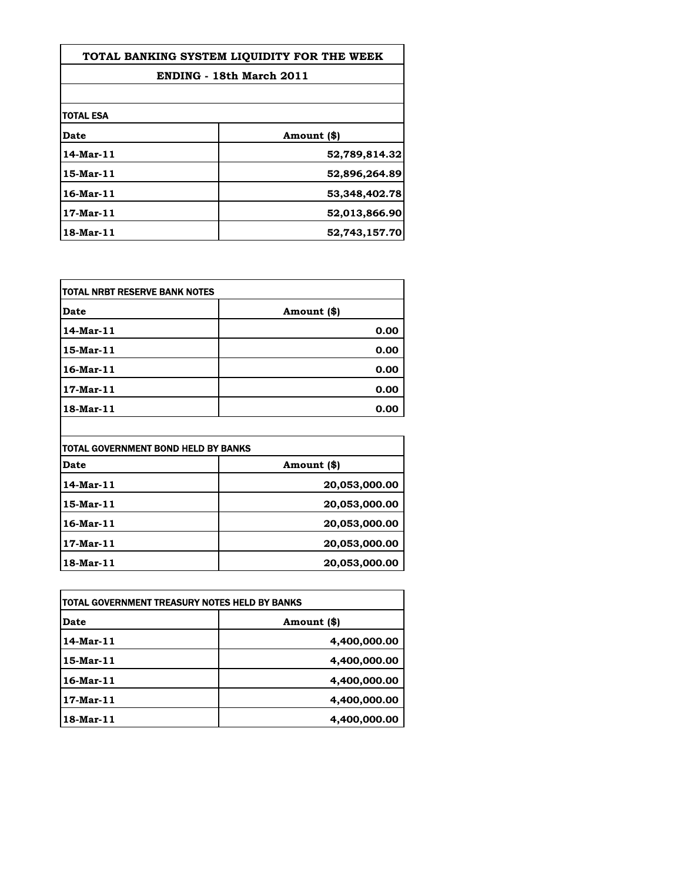| TOTAL BANKING SYSTEM LIQUIDITY FOR THE WEEK |               |
|---------------------------------------------|---------------|
| ENDING - 18th March 2011                    |               |
|                                             |               |
| <b>TOTAL ESA</b>                            |               |
| <b>Date</b>                                 | Amount (\$)   |
| 14-Mar-11                                   | 52,789,814.32 |
| 15-Mar-11                                   | 52,896,264.89 |
| $16$ -Mar- $11$                             | 53,348,402.78 |
| 17-Mar-11                                   | 52,013,866.90 |
| 18-Mar-11                                   | 52,743,157.70 |

| TOTAL NRBT RESERVE BANK NOTES |             |
|-------------------------------|-------------|
| Date                          | Amount (\$) |
| 14-Mar-11                     | 0.00        |
| 15-Mar-11                     | 0.00        |
| 16-Mar-11                     | 0.00        |
| 17-Mar-11                     | 0.00        |
| 18-Mar-11                     | 0.00        |

| TOTAL GOVERNMENT BOND HELD BY BANKS |               |
|-------------------------------------|---------------|
| <b>Date</b>                         | Amount (\$)   |
| 14-Mar-11                           | 20,053,000.00 |
| 15-Mar-11                           | 20,053,000.00 |
| 16-Mar-11                           | 20,053,000.00 |
| 17-Mar-11                           | 20,053,000.00 |
| 18-Mar-11                           | 20,053,000.00 |

| TOTAL GOVERNMENT TREASURY NOTES HELD BY BANKS |              |
|-----------------------------------------------|--------------|
| Date                                          | Amount (\$)  |
| 14-Mar-11                                     | 4,400,000.00 |
| 15-Mar-11                                     | 4,400,000.00 |
| 16-Mar-11                                     | 4,400,000.00 |
| 17-Mar-11                                     | 4,400,000.00 |
| 18-Mar-11                                     | 4,400,000.00 |